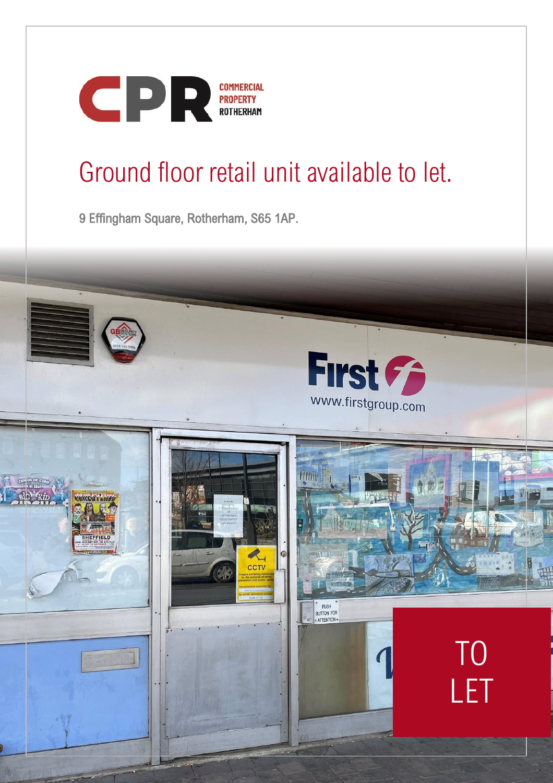

# Ground floor retail unit available to let.

9 Effingham Square, Rotherham, S65 1AP.

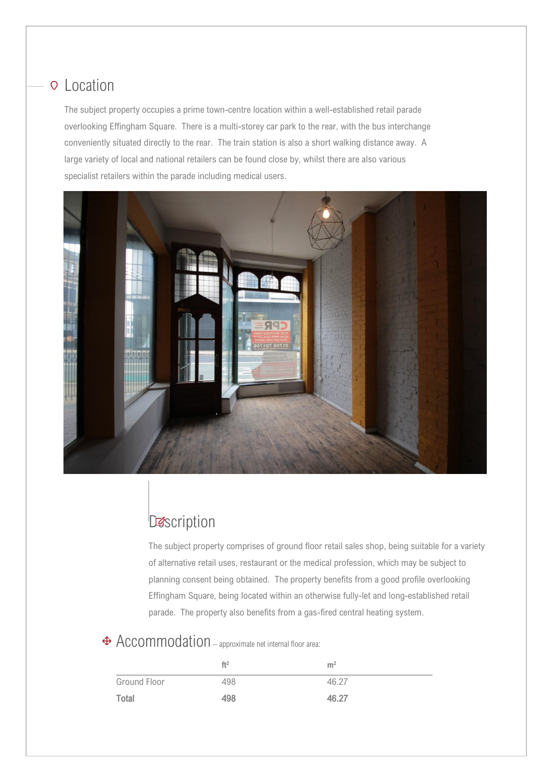#### **Q** Location

The subject property occupies a prime town-centre location within a well-established retail parade overlooking Effingham Square. There is a multi-storey car park to the rear, with the bus interchange conveniently situated directly to the rear. The train station is also a short walking distance away. A large variety of local and national retailers can be found close by, whilst there are also various specialist retailers within the parade including medical users.



## **Description**

I

The subject property comprises of ground floor retail sales shop, being suitable for a variety of alternative retail uses, restaurant or the medical profession, which may be subject to planning consent being obtained. The property benefits from a good profile overlooking Effingham Square, being located within an otherwise fully-let and long-established retail parade. The property also benefits from a gas-fired central heating system.

#### Accommodation – approximate net internal floor area:

I

|              | ft <sup>2</sup> | m <sup>2</sup> |
|--------------|-----------------|----------------|
| Ground Floor | 498             | 46.27          |
| Total        | 498             | 46.27          |